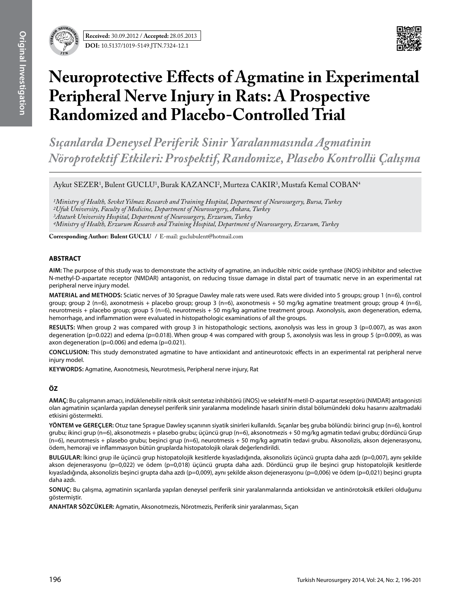

# **Neuroprotective Effects of Agmatine in Experimental Peripheral Nerve Injury in Rats: A Prospective Randomized and Placebo-Controlled Trial**

*Sıçanlarda Deneysel Periferik Sinir Yaralanmasında Agmatinin Nöroprotektif Etkileri: Prospektif, Randomize, Plasebo Kontrollü Çalışma*

Aykut SEZER<sup>1</sup>, Bulent GUCLU<sup>1</sup>, Burak KAZANCI<sup>2</sup>, Murteza CAKIR<sup>3</sup>, Mustafa Kemal COBAN<sup>4</sup>

*1Ministry of Health, Sevket Yilmaz Research and Training Hospital, Department of Neurosurgery, Bursa, Turkey 2Ufuk University, Faculty of Medicine, Department of Neurosurgery, Ankara, Turkey 3Ataturk University Hospital, Department of Neurosurgery, Erzurum, Turkey 4Ministry of Health, Erzurum Research and Training Hospital, Department of Neurosurgery, Erzurum, Turkey*

**Corresponding Author: Bulent Guclu /** E-mail: guclubulent@hotmail.com

# **ABSTRACT**

**AIm:** The purpose of this study was to demonstrate the activity of agmatine, an inducible nitric oxide synthase (iNOS) inhibitor and selective N-methyl-D-aspartate receptor (NMDAR) antagonist, on reducing tissue damage in distal part of traumatic nerve in an experimental rat peripheral nerve injury model.

**MaterIal and Methods:** Sciatic nerves of 30 Sprague Dawley male rats were used. Rats were divided into 5 groups; group 1 (n=6), control group; group 2 (n=6), axonotmesis + placebo group; group 3 (n=6), axonotmesis + 50 mg/kg agmatine treatment group; group 4 (n=6), neurotmesis + placebo group; group 5 (n=6), neurotmesis + 50 mg/kg agmatine treatment group. Axonolysis, axon degeneration, edema, hemorrhage, and inflammation were evaluated in histopathologic examinations of all the groups.

RESULTS: When group 2 was compared with group 3 in histopathologic sections, axonolysis was less in group 3 (p=0.007), as was axon degeneration (p=0.022) and edema (p=0.018). When group 4 was compared with group 5, axonolysis was less in group 5 (p=0.009), as was axon degeneration ( $p=0.006$ ) and edema ( $p=0.021$ ).

**ConclusIon:** This study demonstrated agmatine to have antioxidant and antineurotoxic effects in an experimental rat peripheral nerve injury model.

**Keywords:** Agmatine, Axonotmesis, Neurotmesis, Peripheral nerve injury, Rat

# **ÖZ**

**AMAÇ:** Bu çalışmanın amacı, indüklenebilir nitrik oksit sentetaz inhibitörü (iNOS) ve selektif N-metil-D-aspartat reseptörü (NMDAR) antagonisti olan agmatinin sıçanlarda yapılan deneysel periferik sinir yaralanma modelinde hasarlı sinirin distal bölumündeki doku hasarını azaltmadaki etkisini göstermekti.

**YÖNTEM ve GEREÇLER:** Otuz tane Sprague Dawley sıçanının siyatik sinirleri kullanıldı. Sıçanlar beş gruba bölündü: birinci grup (n=6), kontrol grubu; ikinci grup (n=6), aksonotmezis + plasebo grubu; üçüncü grup (n=6), aksonotmezis + 50 mg/kg agmatin tedavi grubu; dördüncü Grup (n=6), neurotmesis + plasebo grubu; beşinci grup (n=6), neurotmesis + 50 mg/kg agmatin tedavi grubu. Aksonolizis, akson dejenerasyonu, ödem, hemoraji ve inflammasyon bütün gruplarda histopatolojik olarak değerlendirildi.

**BULGULAR:** İkinci grup ile üçüncü grup histopatolojik kesitlerde kıyasladığında, aksonolizis üçüncü grupta daha azdı (p=0,007), aynı şekilde akson dejenerasyonu (p=0,022) ve ödem (p=0,018) üçüncü grupta daha azdı. Dördüncü grup ile beşinci grup histopatolojik kesitlerde kıyasladığında, aksonolizis beşinci grupta daha azdı (p=0,009), aynı şekilde akson dejenerasyonu (p=0,006) ve ödem (p=0,021) beşinci grupta daha azdı.

**SONUÇ:** Bu çalışma, agmatinin sıçanlarda yapılan deneysel periferik sinir yaralanmalarında antioksidan ve antinörotoksik etkileri olduğunu göstermiştir.

**ANAHTAR SÖZCÜKLER:** Agmatin, Aksonotmezis, Nörotmezis, Periferik sinir yaralanması, Sıçan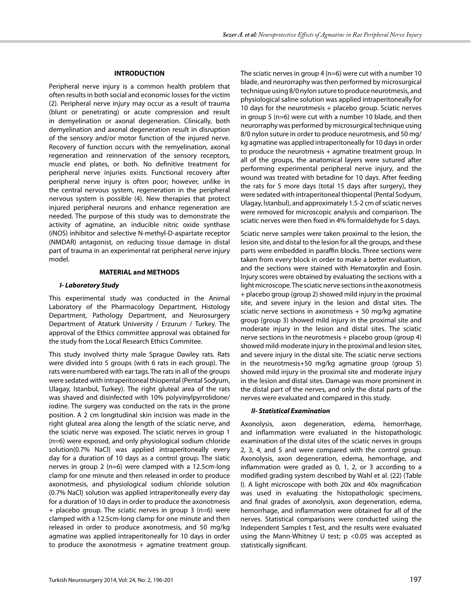#### **INTRODUCTION**

Peripheral nerve injury is a common health problem that often results in both social and economic losses for the victim (2). Peripheral nerve injury may occur as a result of trauma (blunt or penetrating) or acute compression and result in demyelination or axonal degeneration. Clinically, both demyelination and axonal degeneration result in disruption of the sensory and/or motor function of the injured nerve. Recovery of function occurs with the remyelination, axonal regeneration and reinnervation of the sensory receptors, muscle end plates, or both. No definitive treatment for peripheral nerve injuries exists. Functional recovery after peripheral nerve injury is often poor; however, unlike in the central nervous system, regeneration in the peripheral nervous system is possible (4). New therapies that protect injured peripheral neurons and enhance regeneration are needed. The purpose of this study was to demonstrate the activity of agmatine, an inducible nitric oxide synthase (iNOS) inhibitor and selective N-methyl-D-aspartate receptor (NMDAR) antagonist, on reducing tissue damage in distal part of trauma in an experimental rat peripheral nerve injury model.

#### **MATERIAL and METHODS**

#### *I- Laboratory Study*

This experimental study was conducted in the Animal Laboratory of the Pharmacology Department, Histology Department, Pathology Department, and Neurosurgery Department of Ataturk University / Erzurum / Turkey. The approval of the Ethics committee approval was obtained for the study from the Local Research Ethics Commitee.

This study involved thirty male Sprague Dawley rats. Rats were divided into 5 groups (with 6 rats in each group). The rats were numbered with ear tags. The rats in all of the groups were sedated with intraperitoneal thiopental (Pental Sodyum, Ulagay, Istanbul, Turkey). The right gluteal area of the rats was shaved and disinfected with 10% polyvinylpyrrolidone/ iodine. The surgery was conducted on the rats in the prone position. A 2 cm longitudinal skin incision was made in the right gluteal area along the length of the sciatic nerve, and the sciatic nerve was exposed. The sciatic nerves in group 1 (n=6) were exposed, and only physiological sodium chloride solution(0.7% NaCl) was applied intraperitoneally every day for a duration of 10 days as a control group. The siatic nerves in group 2 (n=6) were clamped with a 12.5cm-long clamp for one minute and then released in order to produce axonotmesis, and physiological sodium chloride solution (0.7% NaCl) solution was applied intraperitoneally every day for a duration of 10 days in order to produce the axonotmesis + placebo group. The sciatic nerves in group 3 (n=6) were clamped with a 12.5cm-long clamp for one minute and then released in order to produce axonotmesis, and 50 mg/kg agmatine was applied intraperitoneally for 10 days in order to produce the axonotmesis  $+$  agmatine treatment group. The sciatic nerves in group  $4$  (n=6) were cut with a number 10 blade, and neurorraphy was then performed by microsurgical technique using 8/0 nylon suture to produce neurotmesis, and physiological saline solution was applied intraperitoneally for 10 days for the neurotmesis + placebo group. Sciatic nerves in group 5 (n=6) were cut with a number 10 blade, and then neurorraphy was performed by microsurgical technique using 8/0 nylon suture in order to produce neurotmesis, and 50 mg/ kg agmatine was applied intraperitoneally for 10 days in order to produce the neurotmesis + agmatine treatment group. In all of the groups, the anatomical layers were sutured after performing experimental peripheral nerve injury, and the wound was treated with betadine for 10 days. After feeding the rats for 5 more days (total 15 days after surgery), they were sedated with intraperitoneal thiopental (Pental Sodyum, Ulagay, İstanbul), and approximately 1.5-2 cm of sciatic nerves were removed for microscopic analysis and comparison. The sciatic nerves were then fixed in 4% formaldehyde for 5 days.

Sciatic nerve samples were taken proximal to the lesion, the lesion site, and distal to the lesion for all the groups, and these parts were embedded in paraffin blocks. Three sections were taken from every block in order to make a better evaluation, and the sections were stained with Hematoxylin and Eosin. Injury scores were obtained by evaluating the sections with a light microscope. The sciatic nerve sections in the axonotmesis + placebo group (group 2) showed mild injury in the proximal site, and severe injury in the lesion and distal sites. The sciatic nerve sections in axonotmesis + 50 mg/kg agmatine group (group 3) showed mild injury in the proximal site and moderate injury in the lesion and distal sites. The sciatic nerve sections in the neurotmesis + placebo group (group 4) showed mild-moderate injury in the proximal and lesion sites, and severe injury in the distal site. The sciatic nerve sections in the neurotmesis+50 mg/kg agmatine group (group 5) showed mild injury in the proximal site and moderate injury in the lesion and distal sites. Damage was more prominent in the distal part of the nerves, and only the distal parts of the nerves were evaluated and compared in this study.

#### *II- Statistical Examination*

Axonolysis, axon degeneration, edema, hemorrhage, and inflammation were evaluated in the histopathologic examination of the distal sites of the sciatic nerves in groups 2, 3, 4, and 5 and were compared with the control group. Axonolysis, axon degeneration, edema, hemorrhage, and inflammation were graded as 0, 1, 2, or 3 according to a modified grading system described by Wahl et al. (22) (Table I). A light microscope with both 20x and 40x magnification was used in evaluating the histopathologic specimens, and final grades of axonolysis, axon degeneration, edema, hemorrhage, and inflammation were obtained for all of the nerves. Statistical comparisons were conducted using the Independent Samples t Test, and the results were evaluated using the Mann-Whitney U test; p <0.05 was accepted as statistically significant.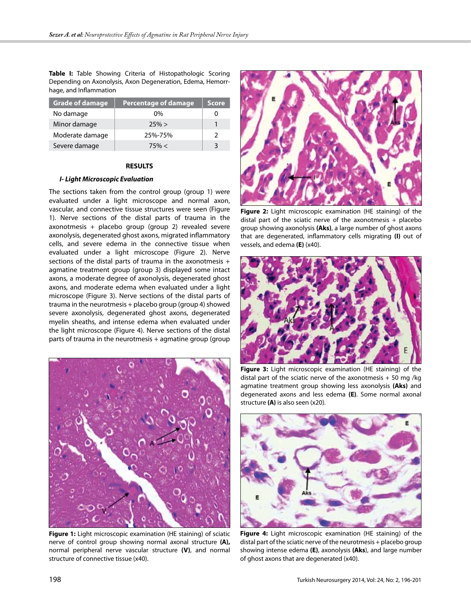**Table I:** Table Showing Criteria of Histopathologic Scoring Depending on Axonolysis, Axon Degeneration, Edema, Hemorrhage, and Inflammation

| <b>Grade of damage</b> | <b>Percentage of damage</b> | <b>Score</b> |
|------------------------|-----------------------------|--------------|
| No damage              | 0%                          |              |
| Minor damage           | 25% >                       |              |
| Moderate damage        | 25%-75%                     | 2            |
| Severe damage          | 75% <                       | ੨            |

#### **RESULTS**

#### *I- Light Microscopic Evaluation*

The sections taken from the control group (group 1) were evaluated under a light microscope and normal axon, vascular, and connective tissue structures were seen (Figure 1). Nerve sections of the distal parts of trauma in the axonotmesis + placebo group (group 2) revealed severe axonolysis, degenerated ghost axons, migrated inflammatory cells, and severe edema in the connective tissue when evaluated under a light microscope (Figure 2). Nerve sections of the distal parts of trauma in the axonotmesis + agmatine treatment group (group 3) displayed some intact axons, a moderate degree of axonolysis, degenerated ghost axons, and moderate edema when evaluated under a light microscope (Figure 3). Nerve sections of the distal parts of trauma in the neurotmesis + placebo group (group 4) showed severe axonolysis, degenerated ghost axons, degenerated myelin sheaths, and intense edema when evaluated under the light microscope (Figure 4). Nerve sections of the distal parts of trauma in the neurotmesis + agmatine group (group



**Figure 1:** Light microscopic examination (HE staining) of sciatic nerve of control group showing normal axonal structure **(A),** normal peripheral nerve vascular structure **(V)**, and normal structure of connective tissue (x40).



**Figure 2:** Light microscopic examination (HE staining) of the distal part of the sciatic nerve of the axonotmesis + placebo group showing axonolysis **(Aks)**, a large number of ghost axons that are degenerated, inflammatory cells migrating **(I)** out of vessels, and edema **(E)** (x40).



**Figure 3:** Light microscopic examination (HE staining) of the distal part of the sciatic nerve of the axonotmesis  $+50$  mg /kg agmatine treatment group showing less axonolysis **(Aks)** and degenerated axons and less edema **(E)**. Some normal axonal structure **(A)** is also seen (x20).



**Figure 4:** Light microscopic examination (HE staining) of the distal part of the sciatic nerve of the neurotmesis + placebo group showing intense edema **(E)**, axonolysis **(Aks**), and large number of ghost axons that are degenerated (x40).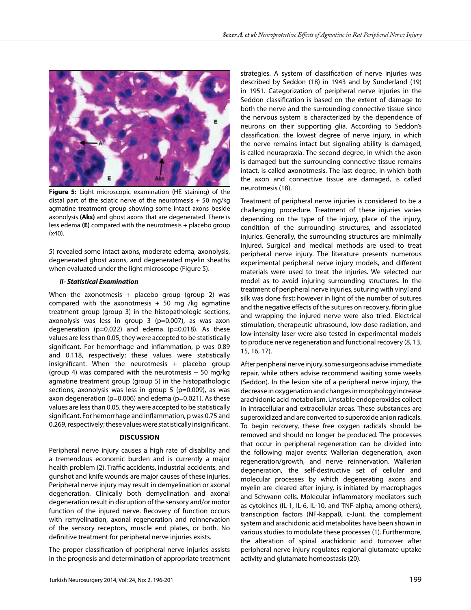

**Figure 5:** Light microscopic examination (HE staining) of the distal part of the sciatic nerve of the neurotmesis  $+50$  mg/kg agmatine treatment group showing some intact axons beside axonolysis **(Aks)** and ghost axons that are degenerated. There is less edema **(E)** compared with the neurotmesis + placebo group (x40).

5) revealed some intact axons, moderate edema, axonolysis, degenerated ghost axons, and degenerated myelin sheaths when evaluated under the light microscope (Figure 5).

## *II- Statistical Examination*

When the axonotmesis + placebo group (group 2) was compared with the axonotmesis  $+50$  mg /kg agmatine treatment group (group 3) in the histopathologic sections, axonolysis was less in group  $3$  (p=0.007), as was axon degeneration  $(p=0.022)$  and edema  $(p=0.018)$ . As these values are less than 0.05, they were accepted to be statistically significant. For hemorrhage and inflammation, p was 0.89 and 0.118, respectively; these values were statistically insignificant. When the neurotmesis + placebo group (group 4) was compared with the neurotmesis  $+50$  mg/kg agmatine treatment group (group 5) in the histopathologic sections, axonolysis was less in group 5 (p=0.009), as was axon degeneration ( $p=0.006$ ) and edema ( $p=0.021$ ). As these values are less than 0.05, they were accepted to be statistically significant. For hemorrhage and inflammation, p was 0.75 and 0.269, respectively; these values were statistically insignificant.

## **DISCUSSION**

Peripheral nerve injury causes a high rate of disability and a tremendous economic burden and is currently a major health problem (2). Traffic accidents, industrial accidents, and gunshot and knife wounds are major causes of these injuries. Peripheral nerve injury may result in demyelination or axonal degeneration. Clinically both demyelination and axonal degeneration result in disruption of the sensory and/or motor function of the injured nerve. Recovery of function occurs with remyelination, axonal regeneration and reinnervation of the sensory receptors, muscle end plates, or both. No definitive treatment for peripheral nerve injuries exists.

The proper classification of peripheral nerve injuries assists in the prognosis and determination of appropriate treatment strategies. A system of classification of nerve injuries was described by Seddon (18) in 1943 and by Sunderland (19) in 1951. Categorization of peripheral nerve injuries in the Seddon classification is based on the extent of damage to both the nerve and the surrounding connective tissue since the nervous system is characterized by the dependence of neurons on their supporting glia. According to Seddon's classification, the lowest degree of nerve injury, in which the nerve remains intact but signaling ability is damaged, is called neurapraxia. The second degree, in which the axon is damaged but the surrounding connective tissue remains intact, is called axonotmesis. The last degree, in which both the axon and connective tissue are damaged, is called neurotmesis (18).

Treatment of peripheral nerve injuries is considered to be a challenging procedure. Treatment of these injuries varies depending on the type of the injury, place of the injury, condition of the surrounding structures, and associated injuries. Generally, the surrounding structures are minimally injured. Surgical and medical methods are used to treat peripheral nerve injury. The literature presents numerous experimental peripheral nerve injury models, and different materials were used to treat the injuries. We selected our model as to avoid injuring surrounding structures. In the treatment of peripheral nerve injuries, suturing with vinyl and silk was done first; however in light of the number of sutures and the negative effects of the sutures on recovery, fibrin glue and wrapping the injured nerve were also tried. Electrical stimulation, therapeutic ultrasound, low-dose radiation, and low-intensity laser were also tested in experimental models to produce nerve regeneration and functional recovery (8, 13, 15, 16, 17).

After peripheral nerve injury, some surgeons advise immediate repair, while others advise recommend waiting some weeks (Seddon). In the lesion site of a peripheral nerve injury, the decrease in oxygenation and changes in morphology increase arachidonic acid metabolism. Unstable endoperoxides collect in intracellular and extracellular areas. These substances are superoxidized and are converted to superoxide anion radicals. To begin recovery, these free oxygen radicals should be removed and should no longer be produced. The processes that occur in peripheral regeneration can be divided into the following major events: Wallerian degeneration, axon regeneration/growth, and nerve reinnervation. Wallerian degeneration, the self-destructive set of cellular and molecular processes by which degenerating axons and myelin are cleared after injury, is initiated by macrophages and Schwann cells. Molecular inflammatory mediators such as cytokines (IL-1, IL-6, IL-10, and TNF-alpha, among others), transcription factors (NF-kappaB, c-Jun), the complement system and arachidonic acid metabolites have been shown in various studies to modulate these processes (1). Furthermore, the alteration of spinal arachidonic acid turnover after peripheral nerve injury regulates regional glutamate uptake activity and glutamate homeostasis (20).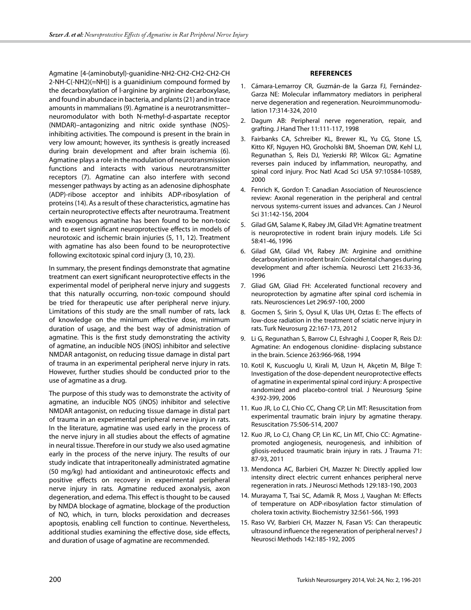Agmatine [4-(aminobutyl)-guanidine-NH2-CH2-CH2-CH2-CH 2-NH-C(-NH2)(=NH)] is a guanidinium compound formed by the decarboxylation of l-arginine by arginine decarboxylase, and found in abundace in bacteria, and plants (21) and in trace amounts in mammalians (9). Agmatine is a neurotransmitter– neuromodulator with both N-methyl-d-aspartate receptor (NMDAR)–antagonizing and nitric oxide synthase (NOS) inhibiting activities. The compound is present in the brain in very low amount; however, its synthesis is greatly increased during brain development and after brain ischemia (6). Agmatine plays a role in the modulation of neurotransmission functions and interacts with various neurotransmitter receptors (7). Agmatine can also interfere with second messenger pathways by acting as an adenosine diphosphate (ADP)-ribose acceptor and inhibits ADP-ribosylation of proteins (14). As a result of these characteristics, agmatine has certain neuroprotective effects after neurotrauma. Treatment with exogenous agmatine has been found to be non-toxic and to exert significant neuroprotective effects in models of neurotoxic and ischemic brain injuries (5, 11, 12). Treatment with agmatine has also been found to be neuroprotective following excitotoxic spinal cord injury (3, 10, 23).

In summary, the present findings demonstrate that agmatine treatment can exert significant neuroprotective effects in the experimental model of peripheral nerve injury and suggests that this naturally occurring, non-toxic compound should be tried for therapeutic use after peripheral nerve injury. Limitations of this study are the small number of rats, lack of knowledge on the minimum effective dose, minimum duration of usage, and the best way of administration of agmatine. This is the first study demonstrating the activity of agmatine, an inducible NOS (iNOS) inhibitor and selective NMDAR antagonist, on reducing tissue damage in distal part of trauma in an experimental peripheral nerve injury in rats. However, further studies should be conducted prior to the use of agmatine as a drug.

The purpose of this study was to demonstrate the activity of agmatine, an inducible NOS (iNOS) inhibitor and selective NMDAR antagonist, on reducing tissue damage in distal part of trauma in an experimental peripheral nerve injury in rats. In the literature, agmatine was used early in the process of the nerve injury in all studies about the effects of agmatine in neural tissue. Therefore in our study we also used agmatine early in the process of the nerve injury. The results of our study indicate that intraperitoneally administrated agmatine (50 mg/kg) had antioxidant and antineurotoxic effects and positive effects on recovery in experimental peripheral nerve injury in rats. Agmatine reduced axonalysis, axon degeneration, and edema. This effect is thought to be caused by NMDA blockage of agmatine, blockage of the production of NO, which, in turn, blocks peroxidation and decreases apoptosis, enabling cell function to continue. Nevertheless, additional studies examining the effective dose, side effects, and duration of usage of agmatine are recommended.

# **References**

- 1. Cámara-Lemarroy CR, Guzmán-de la Garza FJ, Fernández-Garza NE: Molecular inflammatory mediators in peripheral nerve degeneration and regeneration. Neuroimmunomodulation 17:314-324, 2010
- 2. Dagum AB: Peripheral nerve regeneration, repair, and grafting. J Hand Ther 11:111-117, 1998
- 3. Fairbanks CA, Schreiber KL, Brewer KL, Yu CG, Stone LS, Kitto KF, Nguyen HO, Grocholski BM, Shoeman DW, Kehl LJ, Regunathan S, Reis DJ, Yezierski RP, Wilcox GL: Agmatine reverses pain induced by inflammation, neuropathy, and spinal cord injury. Proc Natl Acad Sci USA 97:10584-10589, 2000
- 4. Fenrich K, Gordon T: Canadian Association of Neuroscience review: Axonal regeneration in the peripheral and central nervous systems-current issues and advances. Can J Neurol Sci 31:142-156, 2004
- 5. Gilad GM, Salame K, Rabey JM, Gilad VH: Agmatine treatment is neuroprotective in rodent brain injury models. Life Sci 58:41-46, 1996
- 6. Gilad GM, Gilad VH, Rabey JM: Arginine and ornithine decarboxylation in rodent brain: Coincidental changes during development and after ischemia. Neurosci Lett 216:33-36, 1996
- 7. Gliad GM, Gliad FH: Accelerated functional recovery and neuroprotection by agmatine after spinal cord ischemia in rats. Neurosciences Let 296:97-100, 2000
- 8. Gocmen S, Sirin S, Oysul K, Ulas UH, Oztas E: The effects of low-dose radiation in the treatment of sciatic nerve injury in rats. Turk Neurosurg 22:167-173, 2012
- 9. Li G, Regunathan S, Barrow CJ, Eshraghi J, Cooper R, Reis DJ: Agmatine: An endogenous clonidine- displacing substance in the brain. Science 263:966-968, 1994
- 10. Kotil K, Kuscuoglu U, Kirali M, Uzun H, Akçetin M, Bilge T: Investigation of the dose-dependent neuroprotective effects of agmatine in experimental spinal cord injury: A prospective randomized and placebo-control trial. J Neurosurg Spine 4:392-399, 2006
- 11. Kuo JR, Lo CJ, Chio CC, Chang CP, Lin MT: Resuscitation from experimental traumatic brain injury by agmatine therapy. Resuscitation 75:506-514, 2007
- 12. Kuo JR, Lo CJ, Chang CP, Lin KC, Lin MT, Chio CC: Agmatinepromoted angiogenesis, neurogenesis, and inhibition of gliosis-reduced traumatic brain injury in rats. J Trauma 71: 87-93, 2011
- 13. Mendonca AC, Barbieri CH, Mazzer N: Directly applied low intensity direct electric current enhances peripheral nerve regeneration in rats. J Neurosci Methods 129:183-190, 2003
- 14. Murayama T, Tsai SC, Adamik R, Moss J, Vaughan M: Effects of temperature on ADP-ribosylation factor stimulation of cholera toxin activity. Biochemistry 32:561-566, 1993
- 15. Raso VV, Barbieri CH, Mazzer N, Fasan VS: Can therapeutic ultrasound influence the regeneration of peripheral nerves? J Neurosci Methods 142:185-192, 2005